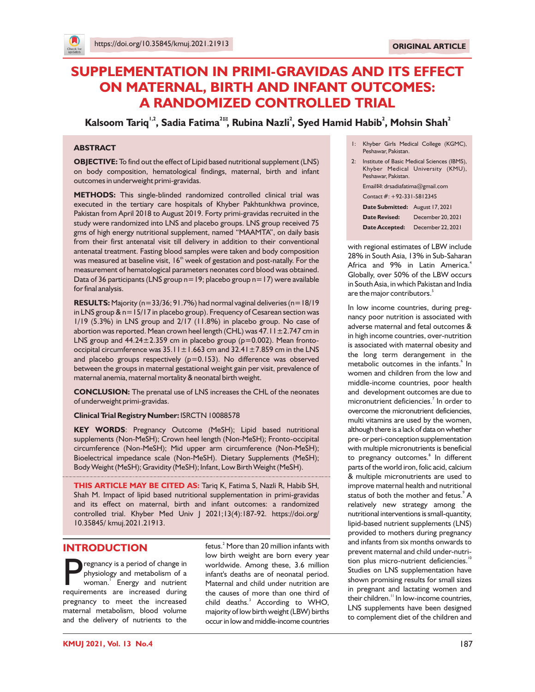# **SUPPLEMENTATION IN PRIMI-GRAVIDAS AND ITS EFFECT ON MATERNAL, BIRTH AND INFANT OUTCOMES: A RANDOMIZED CONTROLLED TRIAL**

**1,2 2 2 <sup>2</sup> <sup>2</sup> Kalsoom Tariq , Sadia Fatima , Rubina Nazli , Syed Hamid Habib , Mohsin Shah**

#### **ABSTRACT**

**OBJECTIVE:** To find out the effect of Lipid based nutritional supplement (LNS) on body composition, hematological findings, maternal, birth and infant outcomes in underweight primi-gravidas.

**METHODS:** This single-blinded randomized controlled clinical trial was executed in the tertiary care hospitals of Khyber Pakhtunkhwa province, Pakistan from April 2018 to August 2019. Forty primi-gravidas recruited in the study were randomized into LNS and placebo groups. LNS group received 75 gms of high energy nutritional supplement, named "MAAMTA", on daily basis from their first antenatal visit till delivery in addition to their conventional antenatal treatment. Fasting blood samples were taken and body composition was measured at baseline visit,  $16<sup>th</sup>$  week of gestation and post-natally. For the measurement of hematological parameters neonates cord blood was obtained. Data of 36 participants (LNS group  $n=19$ ; placebo group  $n=17$ ) were available for final analysis.

**RESULTS:** Majority (n=33/36; 91.7%) had normal vaginal deliveries (n=18/19 in LNS group & n=15/17 in placebo group). Frequency of Cesarean section was 1/19 (5.3%) in LNS group and 2/17 (11.8%) in placebo group. No case of abortion was reported. Mean crown heel length (CHL) was  $47.11 \pm 2.747$  cm in LNS group and  $44.24 \pm 2.359$  cm in placebo group (p=0.002). Mean frontooccipital circumference was  $35.11 \pm 1.663$  cm and  $32.41 \pm 7.859$  cm in the LNS and placebo groups respectively  $(p=0.153)$ . No difference was observed between the groups in maternal gestational weight gain per visit, prevalence of maternal anemia, maternal mortality & neonatal birth weight.

**CONCLUSION:** The prenatal use of LNS increases the CHL of the neonates of underweight primi-gravidas.

#### **Clinical Trial Registry Number:** ISRCTN 10088578

**KEY WORDS**: Pregnancy Outcome (MeSH); Lipid based nutritional supplements (Non-MeSH); Crown heel length (Non-MeSH); Fronto-occipital circumference (Non-MeSH); Mid upper arm circumference (Non-MeSH); Bioelectrical impedance scale (Non-MeSH). Dietary Supplements (MeSH); Body Weight (MeSH); Gravidity (MeSH); Infant, Low Birth Weight (MeSH).

**THIS ARTICLE MAY BE CITED AS:** Tariq K, Fatima S, Nazli R, Habib SH, Shah M. Impact of lipid based nutritional supplementation in primi-gravidas and its effect on maternal, birth and infant outcomes: a randomized controlled trial. Khyber Med Univ J 2021;13(4):187-92. https://doi.org/ 10.35845/ kmuj.2021.21913.

### **INTRODUCTION**

**P** regnancy is a period of change in<br>physiology and metabolism of a<br>woman. Energy and nutrient<br>requirements are increased during regnancy is a period of change in physiology and metabolism of a woman. Energy and nutrient pregnancy to meet the increased maternal metabolism, blood volume and the delivery of nutrients to the

fetus. $^{2}$  More than 20 million infants with low birth weight are born every year worldwide. Among these, 3.6 million infant's deaths are of neonatal period. Maternal and child under nutrition are the causes of more than one third of child deaths.<sup>3</sup> According to WHO, majority of low birth weight(LBW) births occur in low and middle-income countries

- 1: Khyber Girls Medical College (KGMC), Peshawar, Pakistan.
- 2: Institute of Basic Medical Sciences (IBMS), Khyber Medical University (KMU), Peshawar, Pakistan. Email<sup>2</sup>: drsadiafatima@gmail.com

Contact #: +92-331-5812345 **Date Submitted:** August 17, 2021

**Date Revised:** December 20, 2021 **Date Accepted:** December 22, 2021

with regional estimates of LBW include 28% in South Asia, 13% in Sub-Saharan 4 Africa and 9% in Latin America. Globally, over 50% of the LBW occurs in South Asia, in which Pakistan and India are the major contributors. $^{\mathrm{5}}$ 

In low income countries, during pregnancy poor nutrition is associated with adverse maternal and fetal outcomes & in high income countries, over-nutrition is associated with maternal obesity and the long term derangement in the metabolic outcomes in the infants.<sup>6</sup> In women and children from the low and middle-income countries, poor health and development outcomes are due to micronutrient deficiencies.<sup>7</sup> In order to overcome the micronutrient deficiencies, multi vitamins are used by the women, although there is a lack of data on whether pre-or peri-conception supplementation with multiple micronutrients is beneficial to pregnancy outcomes.<sup>8</sup> In different parts of the world iron, folic acid, calcium & multiple micronutrients are used to improve maternal health and nutritional status of both the mother and fetus.<sup>9</sup> A relatively new strategy among the nutritional interventions is small-quantity, lipid-based nutrient supplements (LNS) provided to mothers during pregnancy and infants from six months onwards to prevent maternal and child under-nutrition plus micro-nutrient deficiencies.<sup>10</sup> Studies on LNS supplementation have shown promising results for small sizes in pregnant and lactating women and their children." In low-income countries, LNS supplements have been designed to complement diet of the children and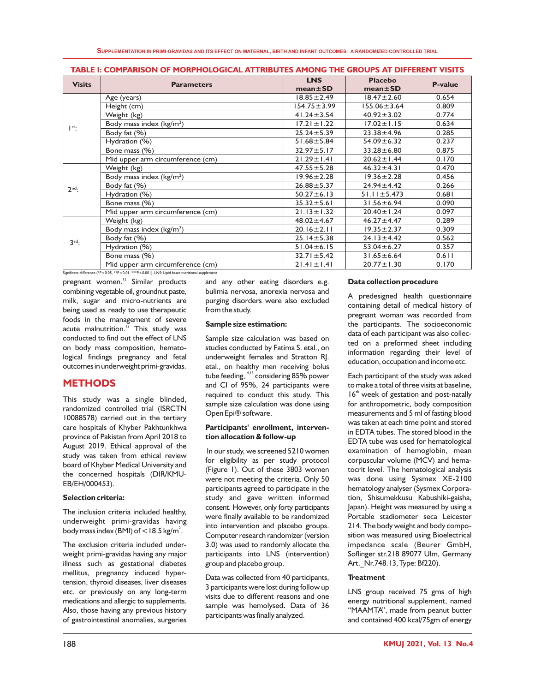**SUPPLEMENTATION IN PRIMI-GRAVIDAS AND ITS EFFECT ON MATERNAL, BIRTH AND INFANT OUTCOMES: A RANDOMIZED CONTROLLED TRIAL**

| <b>Visits</b>                                                                                   | <b>Parameters</b>                | <b>LNS</b>        | <b>Placebo</b>    | <b>P-value</b> |  |
|-------------------------------------------------------------------------------------------------|----------------------------------|-------------------|-------------------|----------------|--|
|                                                                                                 |                                  | $mean \pm SD$     | $mean \pm SD$     |                |  |
| $\vert$ <sup>st</sup> :                                                                         | Age (years)                      | $18.85 \pm 2.49$  | $18.47 \pm 2.60$  | 0.654          |  |
|                                                                                                 | Height (cm)                      | $154.75 \pm 3.99$ | $155.06 \pm 3.64$ | 0.809          |  |
|                                                                                                 | Weight (kg)                      | $41.24 \pm 3.54$  | $40.92 \pm 3.02$  | 0.774          |  |
|                                                                                                 | Body mass index $(kg/m2)$        | $17.21 \pm 1.22$  | $17.02 \pm 1.15$  | 0.634          |  |
|                                                                                                 | Body fat (%)                     | $25.24 \pm 5.39$  | $23.38 \pm 4.96$  | 0.285          |  |
|                                                                                                 | Hydration (%)                    | $51.68 \pm 5.84$  | $54.09 \pm 6.32$  | 0.237          |  |
|                                                                                                 | Bone mass (%)                    | $32.97 \pm 5.17$  | $33.28 \pm 6.80$  | 0.875          |  |
|                                                                                                 | Mid upper arm circumference (cm) | $21.29 \pm 1.41$  | $20.62 \pm 1.44$  | 0.170          |  |
|                                                                                                 | Weight (kg)                      | $47.55 \pm 5.28$  | $46.32 \pm 4.31$  | 0.470          |  |
| $2^{nd}$ :                                                                                      | Body mass index ( $kg/m2$ )      | $19.96 \pm 2.28$  | $19.36 \pm 2.28$  | 0.456          |  |
|                                                                                                 | Body fat (%)                     | $26.88 \pm 5.37$  | $24.94 \pm 4.42$  | 0.266          |  |
|                                                                                                 | Hydration (%)                    | $50.27 \pm 6.13$  | $51.11 \pm 5.473$ | 0.681          |  |
|                                                                                                 | Bone mass (%)                    | $35.32 \pm 5.61$  | $31.56 \pm 6.94$  | 0.090          |  |
|                                                                                                 | Mid upper arm circumference (cm) | $21.13 \pm 1.32$  | $20.40 \pm 1.24$  | 0.097          |  |
| $3^{\text{rd}}$ :                                                                               | Weight (kg)                      | $48.02 \pm 4.67$  | $46.27 \pm 4.47$  | 0.289          |  |
|                                                                                                 | Body mass index $(kg/m2)$        | $20.16 \pm 2.11$  | $19.35 \pm 2.37$  | 0.309          |  |
|                                                                                                 | Body fat (%)                     | $25.14 \pm 5.38$  | $24.13 \pm 4.42$  | 0.562          |  |
|                                                                                                 | Hydration (%)                    | $51.04 \pm 6.15$  | $53.04 \pm 6.27$  | 0.357          |  |
|                                                                                                 | Bone mass (%)                    | $32.71 \pm 5.42$  | $31.65 \pm 6.64$  | 0.611          |  |
|                                                                                                 | Mid upper arm circumference (cm) | $21.41 \pm 1.41$  | $20.77 \pm 1.30$  | 0.170          |  |
| Significant difference (*P<0.05, **P<0.01, ***P<0.001), LNS: Lipid bases nutritional supplement |                                  |                   |                   |                |  |

**TABLE I: COMPARISON OF MORPHOLOGICAL ATTRIBUTES AMONG THE GROUPS AT DIFFERENT VISITS**

 $pregnant$  women. $12$  Similar products combining vegetable oil, groundnut paste, milk, sugar and micro-nutrients are being used as ready to use therapeutic foods in the management of severe acute malnutrition. $13$  This study was conducted to find out the effect of LNS on body mass composition, hematological findings pregnancy and fetal outcomes in underweight primi-gravidas.

### **METHODS**

This study was a single blinded, randomized controlled trial (ISRCTN 10088578) carried out in the tertiary care hospitals of Khyber Pakhtunkhwa province of Pakistan from April 2018 to August 2019. Ethical approval of the study was taken from ethical review board of Khyber Medical University and the concerned hospitals (DIR/KMU-EB/EH/000453).

#### **Selection criteria:**

The inclusion criteria included healthy, underweight primi-gravidas having body mass index (BMI) of  $<$  18.5 kg/m<sup>2</sup>.

The exclusion criteria included underweight primi-gravidas having any major illness such as gestational diabetes mellitus, pregnancy induced hypertension, thyroid diseases, liver diseases etc. or previously on any long-term medications and allergic to supplements. Also, those having any previous history of gastrointestinal anomalies, surgeries

and any other eating disorders e.g. bulimia nervosa, anorexia nervosa and purging disorders were also excluded from the study.

#### **Sample size estimation:**

Sample size calculation was based on studies conducted by Fatima S. etal., on underweight females and Stratton RJ. etal., on healthy men receiving bolus tube feeding,  $14,15$  considering 85% power and CI of 95%, 24 participants were required to conduct this study. This sample size calculation was done using Open Epi® software.

#### **Participants' enrollment, intervention allocation & follow-up**

In our study, we screened 5210 women for eligibility as per study protocol (Figure 1). Out of these 3803 women were not meeting the criteria. Only 50 participants agreed to participate in the study and gave written informed consent. However, only forty participants were finally available to be randomized into intervention and placebo groups. Computer research randomizer (version 3.0) was used to randomly allocate the participants into LNS (intervention) group and placebo group.

Data was collected from 40 participants, 3 participants were lost during follow up visits due to different reasons and one sample was hemolysed**.** Data of 36 participants was finally analyzed.

#### **Data collection procedure**

A predesigned health questionnaire containing detail of medical history of pregnant woman was recorded from the participants. The socioeconomic data of each participant was also collected on a preformed sheet including information regarding their level of education, occupation and income etc.

Each participant of the study was asked to make a total of three visits at baseline,  $16<sup>th</sup>$  week of gestation and post-natally for anthropometric, body composition measurements and 5 ml of fasting blood was taken at each time point and stored in EDTA tubes. The stored blood in the EDTA tube was used for hematological examination of hemoglobin, mean corpuscular volume (MCV) and hematocrit level. The hematological analysis was done using Sysmex XE-2100 hematology analyser (Sysmex Corporation, Shisumekkusu Kabushiki-gaisha, Japan). Height was measured by using a Portable stadiometer seca Leicester 214. The body weight and body composition was measured using Bioelectrical impedance scale (Beurer GmbH, Soflinger str.218 89077 Ulm, Germany Art. Nr.748.13, Type: Bf220).

#### **Treatment**

LNS group received 75 gms of high energy nutritional supplement, named "MAAMTA", made from peanut butter and contained 400 kcal/75gm of energy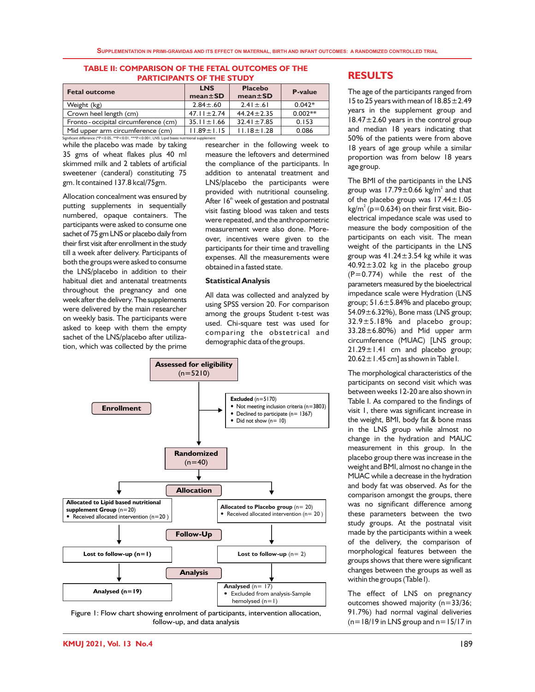#### **TABLE II: COMPARISON OF THE FETAL OUTCOMES OF THE PARTICIPANTS OF THE STUDY**

| <b>Fetal outcome</b>                                                                          | <b>LNS</b><br>$mean \pm SD$ | <b>Placebo</b><br>$mean \pm SD$ | <b>P-value</b> |  |
|-----------------------------------------------------------------------------------------------|-----------------------------|---------------------------------|----------------|--|
| Weight (kg)                                                                                   | $2.84 \pm .60$              | $2.41 \pm .61$                  | $0.042*$       |  |
| Crown heel length (cm)                                                                        | $47.11 \pm 2.74$            | $44.24 \pm 2.35$                | $0.002**$      |  |
| Fronto-occipital circumference (cm)                                                           | $35.11 \pm 1.66$            | $32.41 \pm 7.85$                | 0.153          |  |
| Mid upper arm circumference (cm)                                                              | $11.89 \pm 1.15$            | $11.18 \pm 1.28$                | 0.086          |  |
| Significant difference (*P<0.05 **P<0.01 ***P<0.001   INS: Linid bases putritional supplement |                             |                                 |                |  |

while the placebo was made by taking 35 gms of wheat flakes plus 40 ml skimmed milk and 2 tablets of artificial sweetener (canderal) constituting 75 gm. It contained 137.8 kcal/75gm.

Allocation concealment was ensured by putting supplements in sequentially numbered, opaque containers. The participants were asked to consume one sachet of 75 gm LNS or placebo daily from their first visit after enrollment in the study till a week after delivery. Participants of both the groups were asked to consume the LNS/placebo in addition to their habitual diet and antenatal treatments throughout the pregnancy and one week after the delivery. The supplements were delivered by the main researcher on weekly basis. The participants were asked to keep with them the empty sachet of the LNS/placebo after utilization, which was collected by the prime

researcher in the following week to measure the leftovers and determined the compliance of the participants. In addition to antenatal treatment and LNS/placebo the participants were provided with nutritional counseling. After 16<sup>th</sup> week of gestation and postnatal visit fasting blood was taken and tests were repeated, and the anthropometric measurement were also done. Moreover, incentives were given to the participants for their time and travelling expenses. All the measurements were obtained in a fasted state.

#### **Statistical Analysis**

All data was collected and analyzed by using SPSS version 20. For comparison among the groups Student t-test was used. Chi-square test was used for comparing the obstetrical and demographic data of the groups.



follow-up, and data analysis

### **RESULTS**

The age of the participants ranged from 15 to 25 years with mean of 18.85±2.49 years in the supplement group and  $18.47 \pm 2.60$  years in the control group and median 18 years indicating that 50% of the patients were from above 18 years of age group while a similar proportion was from below 18 years age group.

The BMI of the participants in the LNS group was 17.79 $\pm$ 0.66 kg/m<sup>2</sup> and that of the placebo group was 17.44±1.05 kg/m $^2$  (p=0.634) on their first visit. Bioelectrical impedance scale was used to measure the body composition of the participants on each visit. The mean weight of the participants in the LNS group was  $41.24 \pm 3.54$  kg while it was  $40.92 \pm 3.02$  kg in the placebo group (P=0.774) while the rest of the parameters measured by the bioelectrical impedance scale were Hydration (LNS group; 51.6±5.84% and placebo group; 54.09±6.32%), Bone mass (LNS group; 32.9±5.18% and placebo group; 33.28±6.80%) and Mid upper arm circumference (MUAC) [LNS group; 21.29±1.41 cm and placebo group; 20.62±1.45 cm] as shown in Table I.

The morphological characteristics of the participants on second visit which was between weeks 12-20 are also shown in Table I. As compared to the findings of visit 1, there was significant increase in the weight, BMI, body fat & bone mass in the LNS group while almost no change in the hydration and MAUC measurement in this group. In the placebo group there was increase in the weight and BMI, almost no change in the MUAC while a decrease in the hydration and body fat was observed. As for the comparison amongst the groups, there was no significant difference among these parameters between the two study groups. At the postnatal visit made by the participants within a week of the delivery, the comparison of morphological features between the groups shows that there were significant changes between the groups as well as within the groups (Table I).

The effect of LNS on pregnancy outcomes showed majority (n=33/36; 91.7%) had normal vaginal deliveries  $(n=18/19$  in LNS group and  $n=15/17$  in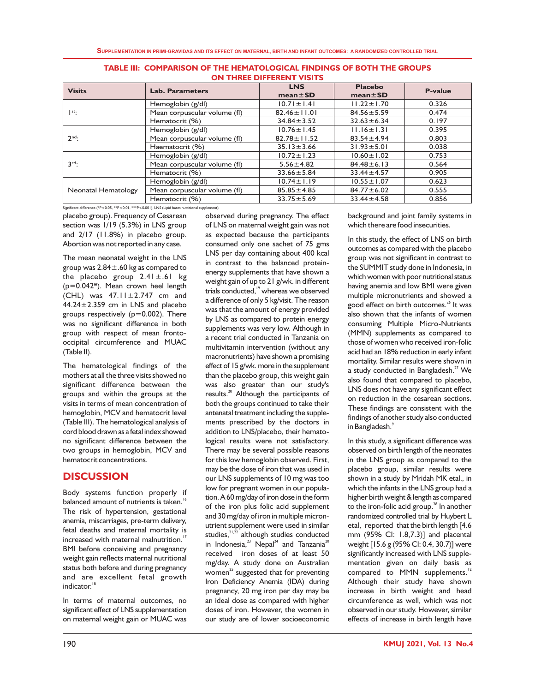|                         |                              | <b>LNS</b>        | <b>Placebo</b>   |                |
|-------------------------|------------------------------|-------------------|------------------|----------------|
| <b>Visits</b>           | <b>Lab. Parameters</b>       | $mean \pm SD$     | $mean \pm SD$    | <b>P-value</b> |
|                         | Hemoglobin (g/dl)            | $10.71 \pm 1.41$  | $11.22 \pm 1.70$ | 0.326          |
| $\vert$ <sup>st</sup> : | Mean corpuscular volume (fl) | $82.46 \pm 11.01$ | $84.56 \pm 5.59$ | 0.474          |
|                         | Hematocrit (%)               | $34.84 \pm 3.52$  | $32.63 \pm 6.34$ | 0.197          |
|                         | Hemoglobin (g/dl)            | $10.76 \pm 1.45$  | $11.16 \pm 1.31$ | 0.395          |
| $2nd$ :                 | Mean corpuscular volume (fl) | $82.78 \pm 11.52$ | $83.54 \pm 4.94$ | 0.803          |
|                         | Haematocrit (%)              | $35.13 \pm 3.66$  | $31.93 \pm 5.01$ | 0.038          |
|                         | Hemoglobin (g/dl)            | $10.72 \pm 1.23$  | $10.60 \pm 1.02$ | 0.753          |
| $3^{\text{rd}}$ :       | Mean corpuscular volume (fl) | $5.56 \pm 4.82$   | $84.48 \pm 6.13$ | 0.564          |
|                         | Hematocrit (%)               | $33.66 \pm 5.84$  | $33.44 \pm 4.57$ | 0.905          |
|                         | Hemoglobin (g/dl)            | $10.74 \pm 1.19$  | $10.55 \pm 1.07$ | 0.623          |
| Neonatal Hematology     | Mean corpuscular volume (fl) | $85.85 \pm 4.85$  | $84.77 \pm 6.02$ | 0.555          |
|                         | Hematocrit (%)               | $33.75 \pm 5.69$  | $33.44 \pm 4.58$ | 0.856          |

| <b>TABLE III: COMPARISON OF THE HEMATOLOGICAL FINDINGS OF BOTH THE GROUPS</b> |
|-------------------------------------------------------------------------------|
| ON THREE DIFFERENT VISITS                                                     |

Significant difference (\*P<0.05, \*\*P<0.01, \*\*\*P<0.001), LNS (Lipid bases nutritional supple

placebo group). Frequency of Cesarean section was 1/19 (5.3%) in LNS group and 2/17 (11.8%) in placebo group. Abortion was not reported in any case.

The mean neonatal weight in the LNS group was  $2.84 \pm .60$  kg as compared to the placebo group  $2.41 \pm .61$  kg (p=0.042\*). Mean crown heel length  $(CHL)$  was  $47.11 \pm 2.747$  cm and 44.24±2.359 cm in LNS and placebo groups respectively  $(p=0.002)$ . There was no significant difference in both group with respect of mean frontooccipital circumference and MUAC (Table II).

The hematological findings of the mothers at all the three visits showed no significant difference between the groups and within the groups at the visits in terms of mean concentration of hemoglobin, MCV and hematocrit level (Table III). The hematological analysis of cord blood drawn as a fetal index showed no significant difference between the two groups in hemoglobin, MCV and hematocrit concentrations.

### **DISCUSSION**

Body systems function properly if balanced amount of nutrients is taken.<sup>16</sup> The risk of hypertension, gestational anemia, miscarriages, pre-term delivery, fetal deaths and maternal mortality is increased with maternal malnutrition.<sup>17</sup> BMI before conceiving and pregnancy weight gain reflects maternal nutritional status both before and during pregnancy and are excellent fetal growth indicator.<sup>18</sup>

In terms of maternal outcomes, no significant effect of LNS supplementation on maternal weight gain or MUAC was observed during pregnancy. The effect of LNS on maternal weight gain was not as expected because the participants consumed only one sachet of 75 gms LNS per day containing about 400 kcal in contrast to the balanced proteinenergy supplements that have shown a weight gain of up to 21 g/wk. in different trials conducted,<sup>19</sup> whereas we observed a difference of only 5 kg/visit. The reason was that the amount of energy provided by LNS as compared to protein energy supplements was very low. Although in a recent trial conducted in Tanzania on multivitamin intervention (without any macronutrients) have shown a promising effect of 15 g/wk. more in the supplement than the placebo group, this weight gain was also greater than our study's results.<sup>20</sup> Although the participants of both the groups continued to take their antenatal treatment including the supplements prescribed by the doctors in addition to LNS/placebo, their hematological results were not satisfactory. There may be several possible reasons for this low hemoglobin observed. First, may be the dose of iron that was used in our LNS supplements of 10 mg was too low for pregnant women in our population.A60mg/day of iron dose in the form of the iron plus folic acid supplement and 30 mg/day of iron in multiple micronutrient supplement were used in similar studies, $21,22$  although studies conducted in Indonesia,<sup>23</sup> Nepal<sup>24</sup> and Tanzania<sup>20</sup> received iron doses of at least 50 mg/day. A study done on Australian women<sup>25</sup> suggested that for preventing Iron Deficiency Anemia (IDA) during pregnancy, 20 mg iron per day may be an ideal dose as compared with higher doses of iron. However, the women in our study are of lower socioeconomic

background and joint family systems in which there are food insecurities.

In this study, the effect of LNS on birth outcomes as compared with the placebo group was not significant in contrast to the SUMMIT study done in Indonesia, in which women with poor nutritional status having anemia and low BMI were given multiple micronutrients and showed a good effect on birth outcomes.<sup>26</sup> It was also shown that the infants of women consuming Multiple Micro-Nutrients (MMN) supplements as compared to those of women who received iron-folic acid had an 18% reduction in early infant mortality. Similar results were shown in a study conducted in Bangladesh.<sup>27</sup> We also found that compared to placebo, LNS does not have any significant effect on reduction in the cesarean sections. These findings are consistent with the findings of another study also conducted 9 in Bangladesh.

In this study, a significant difference was observed on birth length of the neonates in the LNS group as compared to the placebo group, similar results were shown in a study by Mridah MK etal., in which the infants in the LNS group had a higher birth weight & length as compared to the iron-folic acid group. $^{28}$  In another randomized controlled trial by Huybert L etal, reported that the birth length [4.6 mm (95% CI: 1.8,7.3)] and placental weight [15.6 g (95% CI: 0.4, 30.7)] were significantly increased with LNS supplementation given on daily basis as compared to MMN supplements.<sup>12</sup> Although their study have shown increase in birth weight and head circumference as well, which was not observed in our study. However, similar effects of increase in birth length have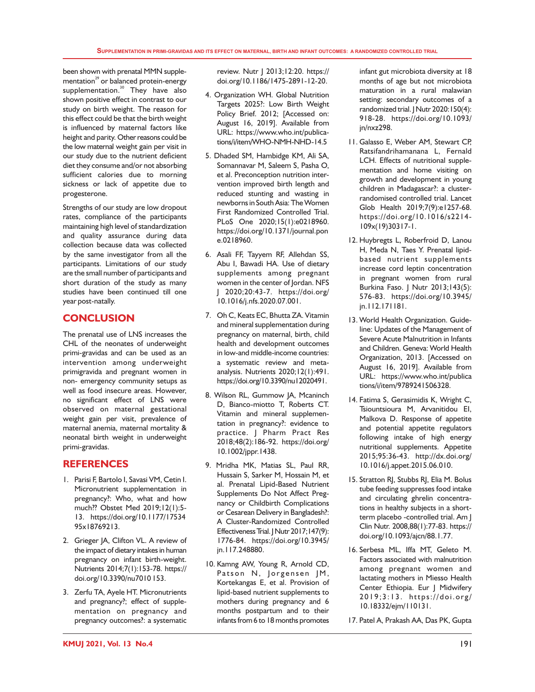been shown with prenatal MMN supplementation<sup>29</sup> or balanced protein-energy supplementation.<sup>30</sup> They have also shown positive effect in contrast to our study on birth weight. The reason for this effect could be that the birth weight is influenced by maternal factors like height and parity. Other reasons could be the low maternal weight gain per visit in our study due to the nutrient deficient diet they consume and/or not absorbing sufficient calories due to morning sickness or lack of appetite due to progesterone.

Strengths of our study are low dropout rates, compliance of the participants maintaining high level of standardization and quality assurance during data collection because data was collected by the same investigator from all the participants. Limitations of our study are the small number of participants and short duration of the study as many studies have been continued till one year post-natally.

# **CONCLUSION**

The prenatal use of LNS increases the CHL of the neonates of underweight primi-gravidas and can be used as an intervention among underweight primigravida and pregnant women in non- emergency community setups as well as food insecure areas. However, no significant effect of LNS were observed on maternal gestational weight gain per visit, prevalence of maternal anemia, maternal mortality & neonatal birth weight in underweight primi-gravidas.

# **REFERENCES**

- 1. Parisi F, Bartolo I, Savasi VM, Cetin I. Micronutrient supplementation in pregnancy?: Who, what and how much?? Obstet Med 2019;12(1):5- 13. https://doi.org/10.1177/17534 95x18769213.
- 2. Grieger JA, Clifton VL. A review of the impact of dietary intakes in human pregnancy on infant birth-weight. Nutrients 2014;7(1):153-78. https:// doi.org/10.3390/nu7010 153.
- 3. Zerfu TA, Ayele HT. Micronutrients and pregnancy?; effect of supplementation on pregnancy and pregnancy outcomes?: a systematic

review. Nutr | 2013;12:20. https:// doi.org/10.1186/1475-2891-12-20.

- 4. Organization WH. Global Nutrition Targets 2025?: Low Birth Weight Policy Brief. 2012; [Accessed on: August 16, 2019]. Available from URL: https://www.who.int/publications/i/item/WHO-NMH-NHD-14.5
- 5. Dhaded SM, Hambidge KM, Ali SA, Somannavar M, Saleem S, Pasha O, et al. Preconception nutrition intervention improved birth length and reduced stunting and wasting in newborns in South Asia: The Women First Randomized Controlled Trial. PLoS One 2020;15(1):e0218960. https://doi.org/10.1371/journal.pon e.0218960.
- 6. Asali FF, Tayyem RF, Allehdan SS, Abu I, Bawadi HA. Use of dietary supplements among pregnant women in the center of Jordan. NFS J 2020;20:43-7. https://doi.org/ 10.1016/j.nfs.2020.07.001.
- 7. Oh C, Keats EC, Bhutta ZA. Vitamin and mineral supplementation during pregnancy on maternal, birth, child health and development outcomes in low-and middle-income countries: a systematic review and metaanalysis. Nutrients 2020;12(1):491. https://doi.org/10.3390/nu12020491.
- 8. Wilson RL, Gummow JA, Mcaninch D, Bianco-miotto T, Roberts CT. Vitamin and mineral supplementation in pregnancy?: evidence to practice. J Pharm Pract Res 2018;48(2):186-92. https://doi.org/ 10.1002/jppr.1438.
- 9. Mridha MK, Matias SL, Paul RR, Hussain S, Sarker M, Hossain M, et al. Prenatal Lipid-Based Nutrient Supplements Do Not Affect Pregnancy or Childbirth Complications or Cesarean Delivery in Bangladesh?: A Cluster-Randomized Controlled Effectiveness Trial. J Nutr 2017;147(9): 1776-84. https://doi.org/10.3945/ jn.117.248880.
- 10. Kamng AW, Young R, Arnold CD, Patson N, Jorgensen JM, Kortekangas E, et al. Provision of lipid-based nutrient supplements to mothers during pregnancy and 6 months postpartum and to their infants from 6 to 18 months promotes

infant gut microbiota diversity at 18 months of age but not microbiota maturation in a rural malawian setting: secondary outcomes of a randomized trial. | Nutr 2020: I 50(4): 918-28. https://doi.org/10.1093/ jn/nxz298.

- 11. Galasso E, Weber AM, Stewart CP, Ratsifandrihamanana L, Fernald LCH. Effects of nutritional supplementation and home visiting on growth and development in young children in Madagascar?: a clusterrandomised controlled trial. Lancet Glob Health 2019;7(9):e1257-68. https://doi.org/10.1016/s2214- 109x(19)30317-1.
- 12. Huybregts L, Roberfroid D, Lanou H, Meda N, Taes Y. Prenatal lipidbased nutrient supplements increase cord leptin concentration in pregnant women from rural Burkina Faso. J Nutr 2013;143(5): 576-83. https://doi.org/10.3945/ jn.112.171181.
- 13. World Health Organization. Guideline: Updates of the Management of Severe Acute Malnutrition in Infants and Children. Geneva: World Health Organization, 2013. [Accessed on August 16, 2019]. Available from URL: https://www.who.int/publica tions/i/item/9789241506328.
- 14. Fatima S, Gerasimidis K, Wright C, Tsiountsioura M, Arvanitidou EI, Malkova D. Response of appetite and potential appetite regulators following intake of high energy nutritional supplements. Appetite 2015;95:36-43. http://dx.doi.org/ 10.1016/j.appet.2015.06.010.
- 15. Stratton RJ, Stubbs RJ, Elia M. Bolus tube feeding suppresses food intake and circulating ghrelin concentrations in healthy subjects in a shortterm placebo -controlled trial. Am J Clin Nutr. 2008,88(1):77-83. https:// doi.org/10.1093/ajcn/88.1.77.
- 16. Serbesa ML, Iffa MT, Geleto M. Factors associated with malnutrition among pregnant women and lactating mothers in Miesso Health Center Ethiopia. Eur J Midwifery 2 0 1 9 ; 3 : 1 3 . h ttps://doi .or g / 10.18332/ejm/110131.
- 17. Patel A, Prakash AA, Das PK, Gupta